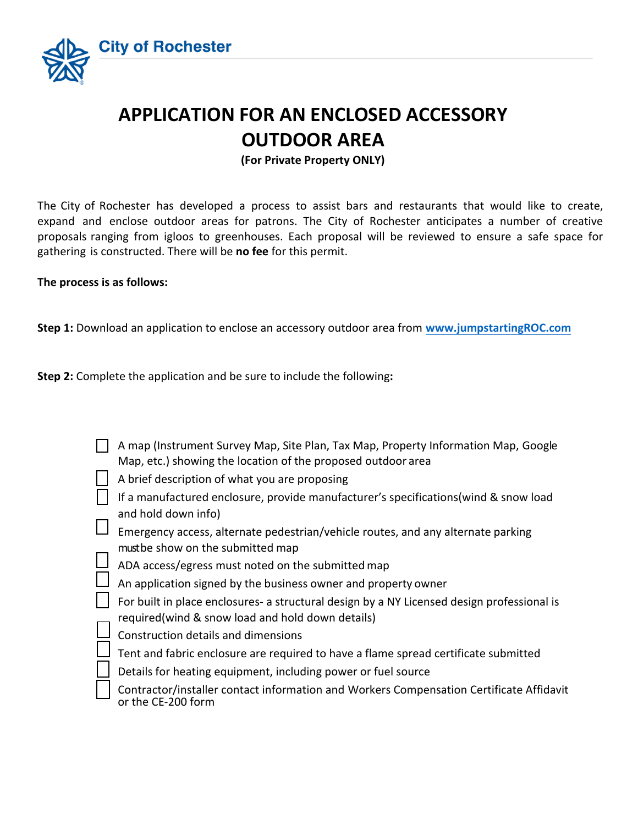

## **APPLICATION FOR AN ENCLOSED ACCESSORY OUTDOOR AREA**

**(For Private Property ONLY)**

The City of Rochester has developed a process to assist bars and restaurants that would like to create, expand and enclose outdoor areas for patrons. The City of Rochester anticipates a number of creative proposals ranging from igloos to greenhouses. Each proposal will be reviewed to ensure a safe space for gathering is constructed. There will be **no fee** for this permit.

## **The process is as follows:**

**Step 1:** Download an application to enclose an accessory outdoor area from **www.jumpstartingROC.com**

**Step 2:** Complete the application and be sure to include the following**:** 

| A map (Instrument Survey Map, Site Plan, Tax Map, Property Information Map, Google<br>Map, etc.) showing the location of the proposed outdoor area |
|----------------------------------------------------------------------------------------------------------------------------------------------------|
| A brief description of what you are proposing                                                                                                      |
| If a manufactured enclosure, provide manufacturer's specifications (wind & snow load<br>and hold down info)                                        |
| Emergency access, alternate pedestrian/vehicle routes, and any alternate parking<br>must be show on the submitted map                              |
| ADA access/egress must noted on the submitted map                                                                                                  |
| An application signed by the business owner and property owner                                                                                     |
| For built in place enclosures- a structural design by a NY Licensed design professional is<br>required (wind & snow load and hold down details)    |
| Construction details and dimensions                                                                                                                |
| Tent and fabric enclosure are required to have a flame spread certificate submitted                                                                |
| Details for heating equipment, including power or fuel source                                                                                      |
| Contractor/installer contact information and Workers Compensation Certificate Affidavit<br>or the CE-200 form                                      |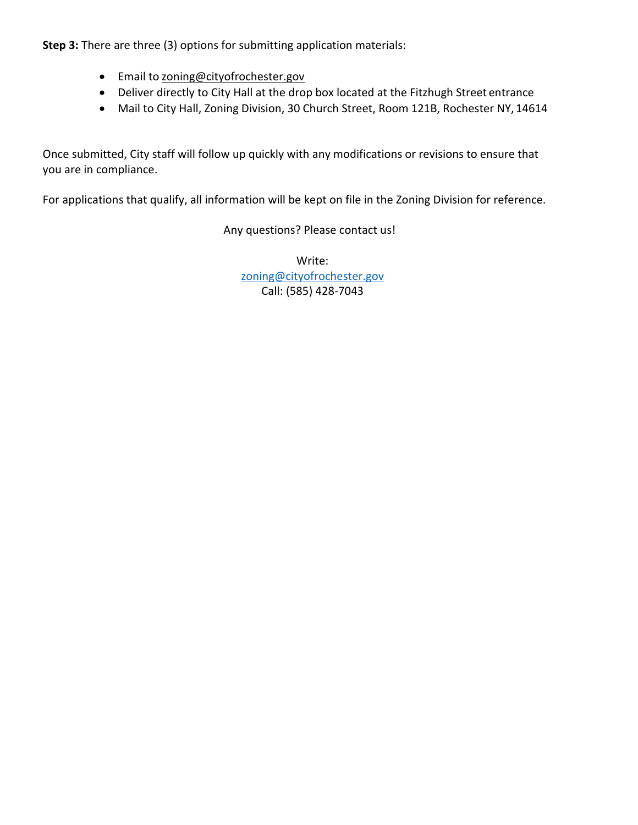**Step 3:** There are three (3) options for submitting application materials:

- **•** Email to [zoning@cityofrochester.gov](mailto:zoning@cityofrochester.gov)
- Deliver directly to City Hall at the drop box located at the Fitzhugh Street entrance
- Mail to City Hall, Zoning Division, 30 Church Street, Room 121B, Rochester NY, 14614

Once submitted, City staff will follow up quickly with any modifications or revisions to ensure that you are in compliance.

For applications that qualify, all information will be kept on file in the Zoning Division for reference.

Any questions? Please contact us!

Write: [zoning@cityofrochester.gov](mailto:zoning@cityofrochester.gov) Call: (585) 428-7043